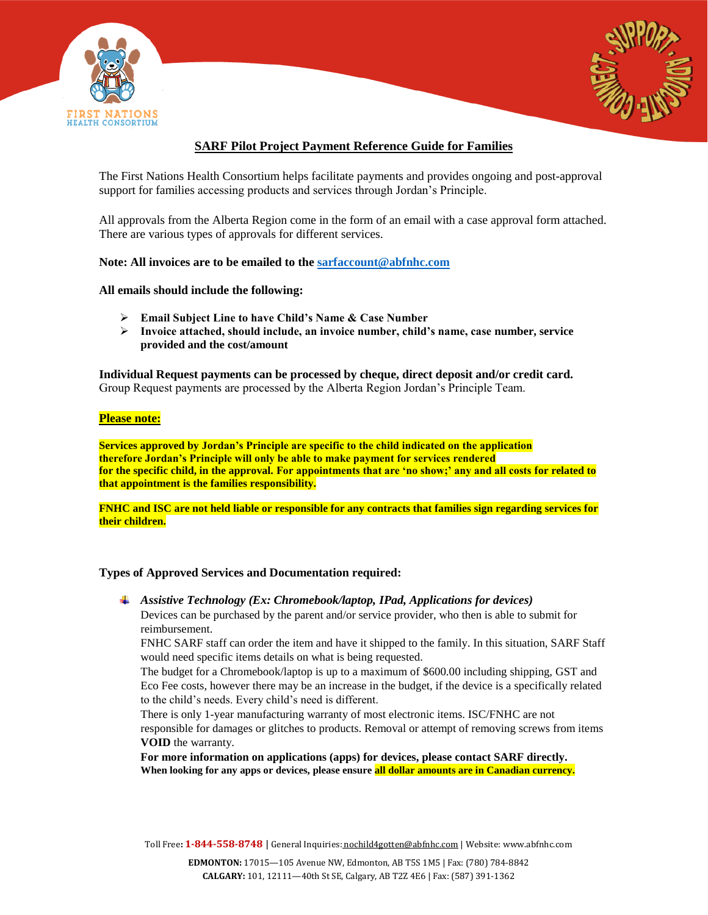



# **SARF Pilot Project Payment Reference Guide for Families**

The First Nations Health Consortium helps facilitate payments and provides ongoing and post-approval support for families accessing products and services through Jordan's Principle.

All approvals from the Alberta Region come in the form of an email with a case approval form attached. There are various types of approvals for different services.

**Note: All invoices are to be emailed to the [sarfaccount@abfnhc.com](mailto:sarfaccount@abfnhc.com)**

**All emails should include the following:**

- **Email Subject Line to have Child's Name & Case Number**
- **Invoice attached, should include, an invoice number, child's name, case number, service provided and the cost/amount**

**Individual Request payments can be processed by cheque, direct deposit and/or credit card.** Group Request payments are processed by the Alberta Region Jordan's Principle Team.

## **Please note:**

**Services approved by Jordan's Principle are specific to the child indicated on the application therefore Jordan's Principle will only be able to make payment for services rendered for the specific child, in the approval. For appointments that are 'no show;' any and all costs for related to that appointment is the families responsibility.**

**FNHC and ISC are not held liable or responsible for any contracts that families sign regarding services for their children.**

# **Types of Approved Services and Documentation required:**

*Assistive Technology (Ex: Chromebook/laptop, IPad, Applications for devices)* Devices can be purchased by the parent and/or service provider, who then is able to submit for reimbursement.

FNHC SARF staff can order the item and have it shipped to the family. In this situation, SARF Staff would need specific items details on what is being requested.

The budget for a Chromebook/laptop is up to a maximum of \$600.00 including shipping, GST and Eco Fee costs, however there may be an increase in the budget, if the device is a specifically related to the child's needs. Every child's need is different.

There is only 1-year manufacturing warranty of most electronic items. ISC/FNHC are not responsible for damages or glitches to products. Removal or attempt of removing screws from items **VOID** the warranty.

**For more information on applications (apps) for devices, please contact SARF directly. When looking for any apps or devices, please ensure all dollar amounts are in Canadian currency.**

Toll Free**: 1-844-558-8748** | General Inquiries: [nochild4gotten@abfnhc.com](mailto:nochild4gotten@abfnhc.com) | Website[: www.abfnhc.com](http://www.abfnhc.com/)